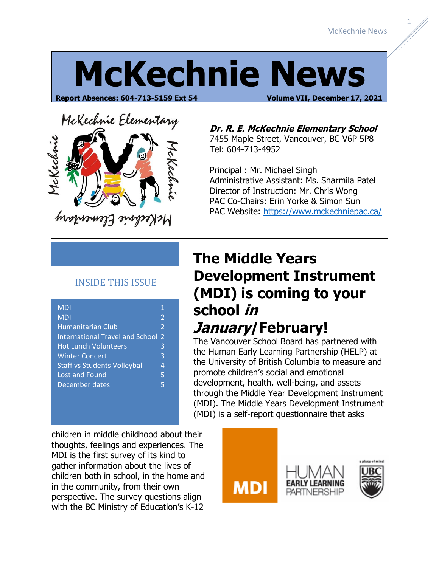1

## **McKechnie News**

**Report Absences: 604-713-5159 Ext 54 Volume VII, December 17, 2021**

# McKechnie Elementary Jekechnie

McKechnie Elementary

#### **Dr. R. E. McKechnie Elementary School** 7455 Maple Street, Vancouver, BC V6P 5P8 Tel: 604-713-4952

Principal : Mr. Michael Singh Administrative Assistant: Ms. Sharmila Patel Director of Instruction: Mr. Chris Wong PAC Co-Chairs: Erin Yorke & Simon Sun PAC Website:<https://www.mckechniepac.ca/>

#### INSIDE THIS ISSUE

| <b>MDI</b>                             | 1              |
|----------------------------------------|----------------|
| MDI                                    | $\overline{2}$ |
| Humanitarian Club                      | $\overline{2}$ |
| <b>International Travel and School</b> | $\mathcal{P}$  |
| <b>Hot Lunch Volunteers</b>            | 3              |
| <b>Winter Concert</b>                  | 3              |
| <b>Staff vs Students Volleyball</b>    | 4              |
| <b>Lost and Found</b>                  | 5              |
| December dates                         | 5              |
|                                        |                |

#### **The Middle Years Development Instrument (MDI) is coming to your school in January/February!**

The Vancouver School Board has partnered with the Human Early Learning Partnership (HELP) at the University of British Columbia to measure and promote children's social and emotional development, health, well-being, and assets through the Middle Year Development Instrument (MDI). The Middle Years Development Instrument (MDI) is a self-report questionnaire that asks

children in middle childhood about their thoughts, feelings and experiences. The MDI is the first survey of its kind to gather information about the lives of children both in school, in the home and in the community, from their own perspective. The survey questions align with the BC Ministry of Education's K-12

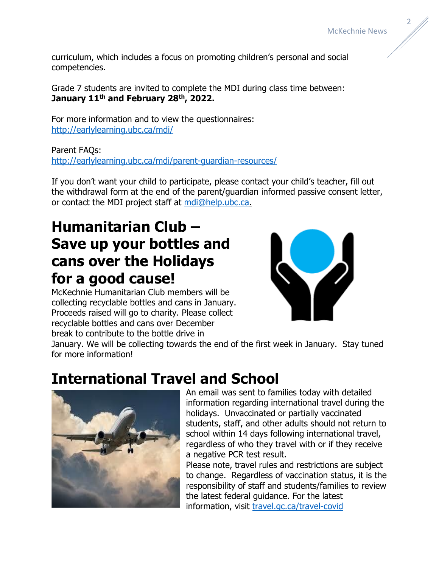curriculum, which includes a focus on promoting children's personal and social competencies.

Grade 7 students are invited to complete the MDI during class time between: **January 11th and February 28th, 2022.**

For more information and to view the questionnaires: <http://earlylearning.ubc.ca/mdi/>

Parent FAQs: <http://earlylearning.ubc.ca/mdi/parent-guardian-resources/>

If you don't want your child to participate, please contact your child's teacher, fill out the withdrawal form at the end of the parent/guardian informed passive consent letter, or contact the MDI project staff at [mdi@help.ubc.ca.](mailto:mdi@help.ubc.ca)

## **Humanitarian Club – Save up your bottles and cans over the Holidays for a good cause!**

McKechnie Humanitarian Club members will be collecting recyclable bottles and cans in January. Proceeds raised will go to charity. Please collect recyclable bottles and cans over December break to contribute to the bottle drive in



January. We will be collecting towards the end of the first week in January. Stay tuned for more information!

#### **International Travel and School**



An email was sent to families today with detailed information regarding international travel during the holidays. Unvaccinated or partially vaccinated students, staff, and other adults should not return to school within 14 days following international travel, regardless of who they travel with or if they receive a negative PCR test result.

Please note, travel rules and restrictions are subject to change. Regardless of vaccination status, it is the responsibility of staff and students/families to review the latest federal guidance. For the latest information, visit [travel.gc.ca/travel-covid](https://travel.gc.ca/travel-covid)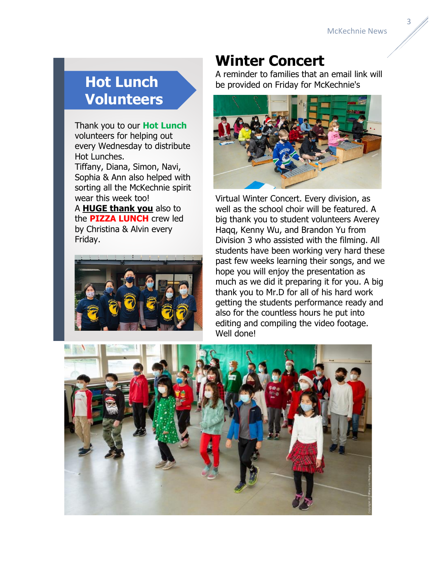### **Hot Lunch Volunteers**

Thank you to our **Hot Lunch** volunteers for helping out every Wednesday to distribute Hot Lunches.

Tiffany, Diana, Simon, Navi, Sophia & Ann also helped with sorting all the McKechnie spirit wear this week too!

A **HUGE thank you** also to the **PIZZA LUNCH** crew led by Christina & Alvin every Friday.



#### **Winter Concert**

A reminder to families that an email link will be provided on Friday for McKechnie's



Virtual Winter Concert. Every division, as well as the school choir will be featured. A big thank you to student volunteers Averey Haqq, Kenny Wu, and Brandon Yu from Division 3 who assisted with the filming. All students have been working very hard these past few weeks learning their songs, and we hope you will enjoy the presentation as much as we did it preparing it for you. A big thank you to Mr.D for all of his hard work getting the students performance ready and also for the countless hours he put into editing and compiling the video footage. Well done!

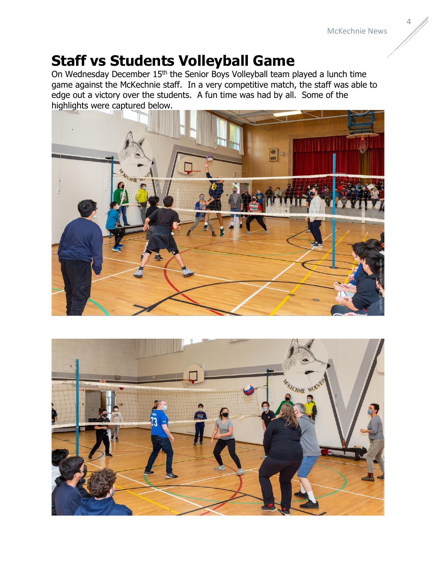#### **Staff vs Students Volleyball Game**

On Wednesday December 15th the Senior Boys Volleyball team played a lunch time game against the McKechnie staff. In a very competitive match, the staff was able to edge out a victory over the students. A fun time was had by all. Some of the highlights were captured below.